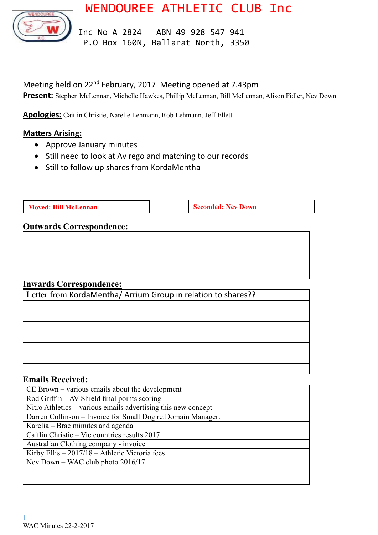



 Inc No A 2824 ABN 49 928 547 941 P.O Box 160N, Ballarat North, 3350

Meeting held on 22nd February, 2017 Meeting opened at 7.43pm Present: Stephen McLennan, Michelle Hawkes, Phillip McLennan, Bill McLennan, Alison Fidler, Nev Down

**Apologies:** Caitlin Christie, Narelle Lehmann, Rob Lehmann, Jeff Ellett

### **Matters Arising:**

- Approve January minutes
- Still need to look at Av rego and matching to our records
- Still to follow up shares from KordaMentha

**Moved:** Bill McLennan **Seconded:** Nev Down

# **Outwards Correspondence:**

# **Inwards Correspondence:**

Letter from KordaMentha/ Arrium Group in relation to shares??

#### **Emails Received:**

| $CE$ Brown – various emails about the development             |
|---------------------------------------------------------------|
| Rod Griffin - AV Shield final points scoring                  |
| Nitro Athletics - various emails advertising this new concept |
| Darren Collinson – Invoice for Small Dog re. Domain Manager.  |
| Karelia – Brac minutes and agenda                             |
| Caitlin Christie – Vic countries results 2017                 |
| Australian Clothing company - invoice                         |
| Kirby Ellis $-2017/18$ – Athletic Victoria fees               |
| Nev Down – WAC club photo 2016/17                             |
|                                                               |
|                                                               |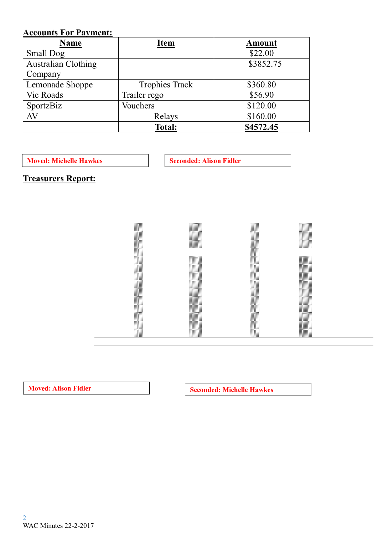# **Accounts For Payment:**

| <b>Name</b>                | <b>Item</b>           | <b>Amount</b> |  |
|----------------------------|-----------------------|---------------|--|
| <b>Small Dog</b>           |                       | \$22.00       |  |
| <b>Australian Clothing</b> |                       | \$3852.75     |  |
| Company                    |                       |               |  |
| Lemonade Shoppe            | <b>Trophies Track</b> | \$360.80      |  |
| Vic Roads                  | Trailer rego          | \$56.90       |  |
| SportzBiz                  | Vouchers              | \$120.00      |  |
| AV                         | Relays                | \$160.00      |  |
|                            | <b>Total:</b>         | \$4572.45     |  |

**Moved: Michelle Hawkes Seconded: Alison Fidler** 

**Treasurers Report:**



**Moved:** Alison Fidler **Seconded:** Michelle Hawkes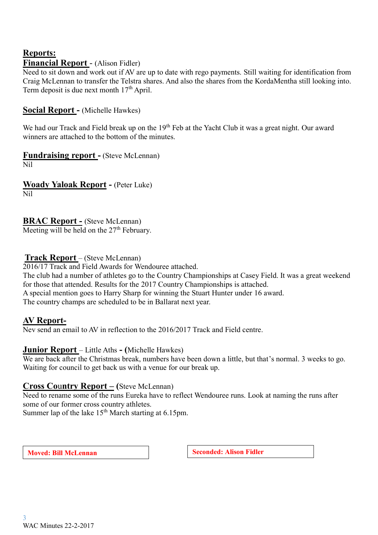# **Reports: Financial Report** - (Alison Fidler)

Need to sit down and work out if AV are up to date with rego payments. Still waiting for identification from Craig McLennan to transfer the Telstra shares. And also the shares from the KordaMentha still looking into. Term deposit is due next month  $17<sup>th</sup>$  April.

## **Social Report -** (Michelle Hawkes)

We had our Track and Field break up on the 19<sup>th</sup> Feb at the Yacht Club it was a great night. Our award winners are attached to the bottom of the minutes.

**Fundraising report -** (Steve McLennan)

Nil

**Woady Yaloak Report -** (Peter Luke) Nil

**BRAC Report -** (Steve McLennan)

Meeting will be held on the 27<sup>th</sup> February.

### **Track Report** – (Steve McLennan)

2016/17 Track and Field Awards for Wendouree attached.

The club had a number of athletes go to the Country Championships at Casey Field. It was a great weekend for those that attended. Results for the 2017 Country Championships is attached. A special mention goes to Harry Sharp for winning the Stuart Hunter under 16 award. The country champs are scheduled to be in Ballarat next year.

# **AV Report-**

Nev send an email to AV in reflection to the 2016/2017 Track and Field centre.

#### **Junior Report** – Little Aths **- (**Michelle Hawkes)

We are back after the Christmas break, numbers have been down a little, but that's normal. 3 weeks to go. Waiting for council to get back us with a venue for our break up.

# **Cross Co**u**ntry Report – (**Steve McLennan)

Need to rename some of the runs Eureka have to reflect Wendouree runs. Look at naming the runs after some of our former cross country athletes.

Summer lap of the lake  $15<sup>th</sup>$  March starting at 6.15pm.

**Moved:** Bill McLennan **Seconded:** Alison Fidler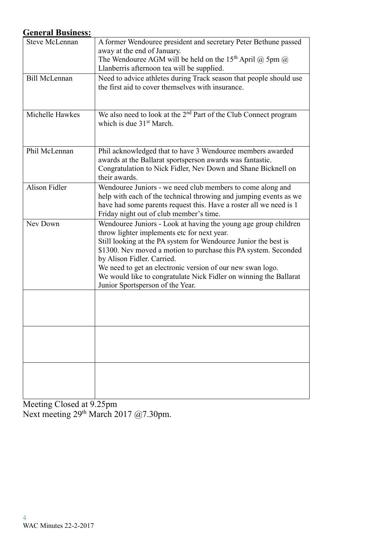# **General Business:**

| <b>Steve McLennan</b> | A former Wendouree president and secretary Peter Bethune passed<br>away at the end of January.                                                                                                                                                                                                                                                                                                                                                            |
|-----------------------|-----------------------------------------------------------------------------------------------------------------------------------------------------------------------------------------------------------------------------------------------------------------------------------------------------------------------------------------------------------------------------------------------------------------------------------------------------------|
|                       | The Wendouree AGM will be held on the 15 <sup>th</sup> April $\omega$ 5pm $\omega$<br>Llanberris afternoon tea will be supplied.                                                                                                                                                                                                                                                                                                                          |
| <b>Bill McLennan</b>  | Need to advice athletes during Track season that people should use                                                                                                                                                                                                                                                                                                                                                                                        |
|                       | the first aid to cover themselves with insurance.                                                                                                                                                                                                                                                                                                                                                                                                         |
| Michelle Hawkes       | We also need to look at the $2nd$ Part of the Club Connect program<br>which is due $31st$ March.                                                                                                                                                                                                                                                                                                                                                          |
| Phil McLennan         | Phil acknowledged that to have 3 Wendouree members awarded<br>awards at the Ballarat sportsperson awards was fantastic.<br>Congratulation to Nick Fidler, Nev Down and Shane Bicknell on<br>their awards.                                                                                                                                                                                                                                                 |
| <b>Alison Fidler</b>  | Wendouree Juniors - we need club members to come along and<br>help with each of the technical throwing and jumping events as we<br>have had some parents request this. Have a roster all we need is 1<br>Friday night out of club member's time.                                                                                                                                                                                                          |
| Nev Down              | Wendouree Juniors - Look at having the young age group children<br>throw lighter implements etc for next year.<br>Still looking at the PA system for Wendouree Junior the best is<br>\$1300. Nev moved a motion to purchase this PA system. Seconded<br>by Alison Fidler. Carried.<br>We need to get an electronic version of our new swan logo.<br>We would like to congratulate Nick Fidler on winning the Ballarat<br>Junior Sportsperson of the Year. |
|                       |                                                                                                                                                                                                                                                                                                                                                                                                                                                           |
|                       |                                                                                                                                                                                                                                                                                                                                                                                                                                                           |
|                       |                                                                                                                                                                                                                                                                                                                                                                                                                                                           |

Meeting Closed at 9.25pm Next meeting 29<sup>th</sup> March 2017 @7.30pm.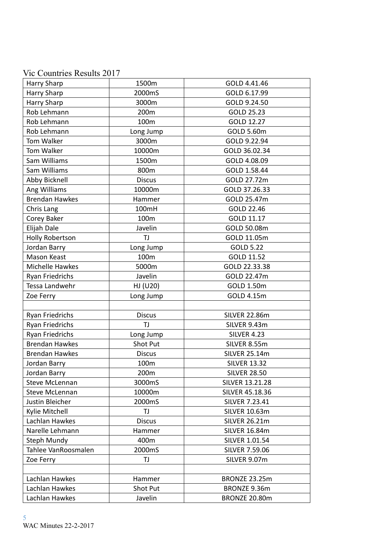# Vic Countries Results 2017

| Harry Sharp            | 1500m         | GOLD 4.41.46           |  |
|------------------------|---------------|------------------------|--|
| Harry Sharp            | 2000mS        | GOLD 6.17.99           |  |
| Harry Sharp            | 3000m         | GOLD 9.24.50           |  |
| Rob Lehmann            | 200m          | GOLD 25.23             |  |
| Rob Lehmann            | 100m          | GOLD 12.27             |  |
| Rob Lehmann            | Long Jump     | GOLD 5.60m             |  |
| Tom Walker             | 3000m         | GOLD 9.22.94           |  |
| Tom Walker             | 10000m        | GOLD 36.02.34          |  |
| Sam Williams           | 1500m         | GOLD 4.08.09           |  |
| Sam Williams           | 800m          | GOLD 1.58.44           |  |
| Abby Bicknell          | <b>Discus</b> | GOLD 27.72m            |  |
| Ang Williams           | 10000m        | GOLD 37.26.33          |  |
| <b>Brendan Hawkes</b>  | Hammer        | GOLD 25.47m            |  |
| Chris Lang             | 100mH         | GOLD 22.46             |  |
| Corey Baker            | 100m          | GOLD 11.17             |  |
| Elijah Dale            | Javelin       | GOLD 50.08m            |  |
| <b>Holly Robertson</b> | TJ            | GOLD 11.05m            |  |
| Jordan Barry           | Long Jump     | <b>GOLD 5.22</b>       |  |
| Mason Keast            | 100m          | GOLD 11.52             |  |
| Michelle Hawkes        | 5000m         | GOLD 22.33.38          |  |
| Ryan Friedrichs        | Javelin       | GOLD 22.47m            |  |
| Tessa Landwehr         | HJ (U20)      | GOLD 1.50m             |  |
| Zoe Ferry              | Long Jump     | GOLD 4.15m             |  |
|                        |               |                        |  |
| <b>Ryan Friedrichs</b> | <b>Discus</b> | <b>SILVER 22.86m</b>   |  |
| Ryan Friedrichs        | TJ            | SILVER 9.43m           |  |
| Ryan Friedrichs        | Long Jump     | <b>SILVER 4.23</b>     |  |
| <b>Brendan Hawkes</b>  | Shot Put      | SILVER 8.55m           |  |
| <b>Brendan Hawkes</b>  | <b>Discus</b> | <b>SILVER 25.14m</b>   |  |
| Jordan Barry           | 100m          | <b>SILVER 13.32</b>    |  |
| Jordan Barry           | 200m          | <b>SILVER 28.50</b>    |  |
| <b>Steve McLennan</b>  | 3000mS        | <b>SILVER 13.21.28</b> |  |
| Steve McLennan         | 10000m        | SILVER 45.18.36        |  |
| Justin Bleicher        | 2000mS        | <b>SILVER 7.23.41</b>  |  |
| Kylie Mitchell         | TJ            | <b>SILVER 10.63m</b>   |  |
| Lachlan Hawkes         | <b>Discus</b> | <b>SILVER 26.21m</b>   |  |
| Narelle Lehmann        | Hammer        | <b>SILVER 16.84m</b>   |  |
| <b>Steph Mundy</b>     | 400m          | SILVER 1.01.54         |  |
| Tahlee VanRoosmalen    | 2000mS        | <b>SILVER 7.59.06</b>  |  |
| Zoe Ferry              | TJ            | SILVER 9.07m           |  |
|                        |               |                        |  |
| Lachlan Hawkes         | Hammer        | BRONZE 23.25m          |  |
| Lachlan Hawkes         | Shot Put      | BRONZE 9.36m           |  |
| Lachlan Hawkes         | Javelin       | BRONZE 20.80m          |  |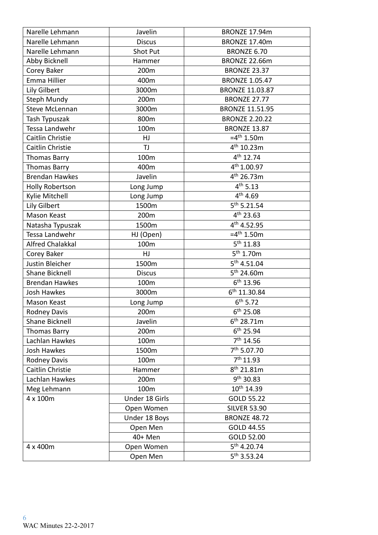| Narelle Lehmann         | Javelin        | <b>BRONZE 17.94m</b>    |  |  |
|-------------------------|----------------|-------------------------|--|--|
| Narelle Lehmann         | <b>Discus</b>  | BRONZE 17.40m           |  |  |
| Narelle Lehmann         | Shot Put       | <b>BRONZE 6.70</b>      |  |  |
| Abby Bicknell           | Hammer         | <b>BRONZE 22.66m</b>    |  |  |
| Corey Baker             | 200m           | <b>BRONZE 23.37</b>     |  |  |
| Emma Hillier            | 400m           | <b>BRONZE 1.05.47</b>   |  |  |
| Lily Gilbert            | 3000m          | <b>BRONZE 11.03.87</b>  |  |  |
| <b>Steph Mundy</b>      | 200m           | <b>BRONZE 27.77</b>     |  |  |
| <b>Steve McLennan</b>   | 3000m          | <b>BRONZE 11.51.95</b>  |  |  |
| Tash Typuszak           | 800m           | <b>BRONZE 2.20.22</b>   |  |  |
| Tessa Landwehr          | 100m           | <b>BRONZE 13.87</b>     |  |  |
| Caitlin Christie        | HJ             | $=4^{th}$ 1.50m         |  |  |
| Caitlin Christie        | <b>TJ</b>      | 4 <sup>th</sup> 10.23m  |  |  |
| <b>Thomas Barry</b>     | 100m           | 4 <sup>th</sup> 12.74   |  |  |
| <b>Thomas Barry</b>     | 400m           | $4^{th}$ 1.00.97        |  |  |
| <b>Brendan Hawkes</b>   | Javelin        | 4 <sup>th</sup> 26.73m  |  |  |
| <b>Holly Robertson</b>  | Long Jump      | 4 <sup>th</sup> 5.13    |  |  |
| Kylie Mitchell          | Long Jump      | 4 <sup>th</sup> 4.69    |  |  |
| Lily Gilbert            | 1500m          | $5^{th}$ 5.21.54        |  |  |
| Mason Keast             | 200m           | 4 <sup>th</sup> 23.63   |  |  |
| Natasha Typuszak        | 1500m          | 4 <sup>th</sup> 4.52.95 |  |  |
| Tessa Landwehr          | HJ (Open)      | $=4^{\text{th}}$ 1.50m  |  |  |
| <b>Alfred Chalakkal</b> | 100m           | $5^{th}$ 11.83          |  |  |
| Corey Baker             | HJ             | $5^{th}$ 1.70m          |  |  |
| Justin Bleicher         | 1500m          | $5^{th}$ 4.51.04        |  |  |
| <b>Shane Bicknell</b>   | <b>Discus</b>  | $5^{th}$ 24.60m         |  |  |
| <b>Brendan Hawkes</b>   | 100m           | $6^{th}$ 13.96          |  |  |
| <b>Josh Hawkes</b>      | 3000m          | $6^{th}$ 11.30.84       |  |  |
| Mason Keast             | Long Jump      | $6^{th}$ 5.72           |  |  |
| <b>Rodney Davis</b>     | 200m           | $6^{th}$ 25.08          |  |  |
| Shane Bicknell          | Javelin        | 6 <sup>th</sup> 28.71m  |  |  |
| <b>Thomas Barry</b>     | 200m           | $6^{th}$ 25.94          |  |  |
| Lachlan Hawkes          | 100m           | $7th$ 14.56             |  |  |
| <b>Josh Hawkes</b>      | 1500m          | 7 <sup>th</sup> 5.07.70 |  |  |
| <b>Rodney Davis</b>     | 100m           | 7 <sup>th</sup> 11.93   |  |  |
| Caitlin Christie        | Hammer         | 8 <sup>th</sup> 21.81m  |  |  |
| Lachlan Hawkes          | 200m           | 9 <sup>th</sup> 30.83   |  |  |
| Meg Lehmann             | 100m           | 10th 14.39              |  |  |
| 4 x 100m                | Under 18 Girls | GOLD 55.22              |  |  |
|                         | Open Women     | <b>SILVER 53.90</b>     |  |  |
|                         | Under 18 Boys  | <b>BRONZE 48.72</b>     |  |  |
|                         | Open Men       | GOLD 44.55              |  |  |
|                         | 40+ Men        | GOLD 52.00              |  |  |
| 4 x 400m                | Open Women     | 5 <sup>th</sup> 4.20.74 |  |  |
|                         | Open Men       | $5^{th}$ 3.53.24        |  |  |